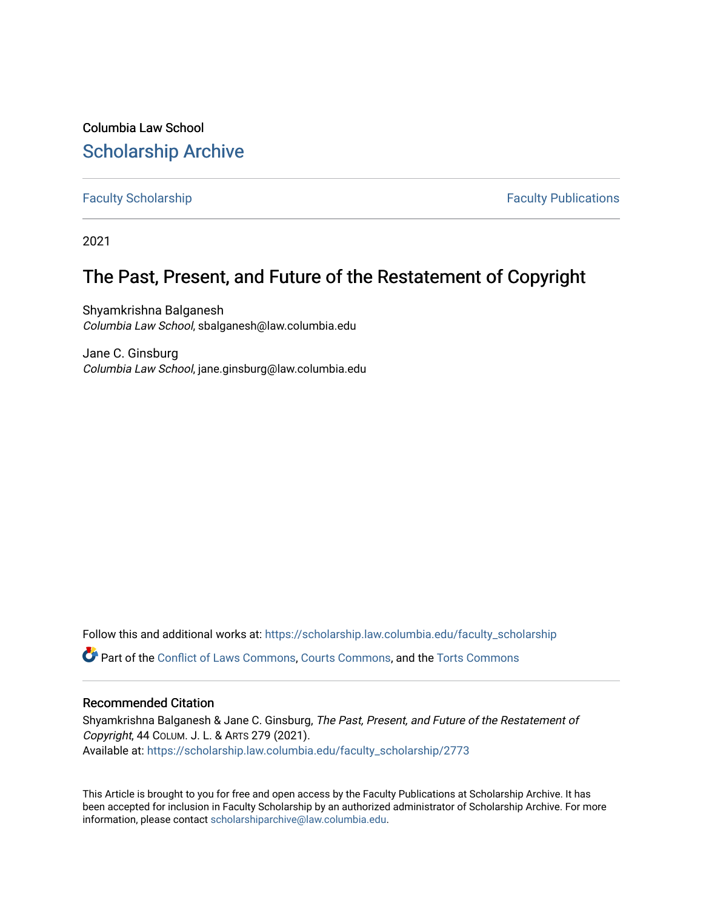Columbia Law School [Scholarship Archive](https://scholarship.law.columbia.edu/) 

[Faculty Scholarship](https://scholarship.law.columbia.edu/faculty_scholarship) **Faculty Scholarship Faculty Publications** 

2021

# The Past, Present, and Future of the Restatement of Copyright

Shyamkrishna Balganesh Columbia Law School, sbalganesh@law.columbia.edu

Jane C. Ginsburg Columbia Law School, jane.ginsburg@law.columbia.edu

Follow this and additional works at: [https://scholarship.law.columbia.edu/faculty\\_scholarship](https://scholarship.law.columbia.edu/faculty_scholarship?utm_source=scholarship.law.columbia.edu%2Ffaculty_scholarship%2F2773&utm_medium=PDF&utm_campaign=PDFCoverPages) Part of the [Conflict of Laws Commons,](http://network.bepress.com/hgg/discipline/588?utm_source=scholarship.law.columbia.edu%2Ffaculty_scholarship%2F2773&utm_medium=PDF&utm_campaign=PDFCoverPages) [Courts Commons,](http://network.bepress.com/hgg/discipline/839?utm_source=scholarship.law.columbia.edu%2Ffaculty_scholarship%2F2773&utm_medium=PDF&utm_campaign=PDFCoverPages) and the [Torts Commons](http://network.bepress.com/hgg/discipline/913?utm_source=scholarship.law.columbia.edu%2Ffaculty_scholarship%2F2773&utm_medium=PDF&utm_campaign=PDFCoverPages)

## Recommended Citation

Shyamkrishna Balganesh & Jane C. Ginsburg, The Past, Present, and Future of the Restatement of Copyright, 44 COLUM. J. L. & ARTS 279 (2021). Available at: [https://scholarship.law.columbia.edu/faculty\\_scholarship/2773](https://scholarship.law.columbia.edu/faculty_scholarship/2773?utm_source=scholarship.law.columbia.edu%2Ffaculty_scholarship%2F2773&utm_medium=PDF&utm_campaign=PDFCoverPages)

This Article is brought to you for free and open access by the Faculty Publications at Scholarship Archive. It has been accepted for inclusion in Faculty Scholarship by an authorized administrator of Scholarship Archive. For more information, please contact [scholarshiparchive@law.columbia.edu.](mailto:scholarshiparchive@law.columbia.edu)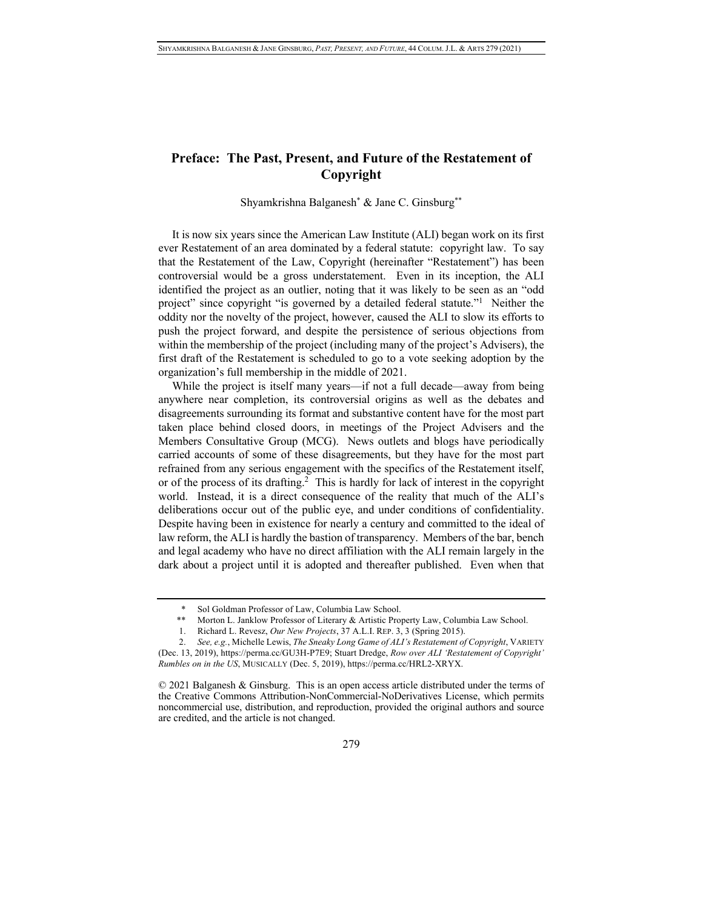# **Preface: The Past, Present, and Future of the Restatement of Copyright**

Shyamkrishna Balganesh\* & Jane C. Ginsburg\*\*

It is now six years since the American Law Institute (ALI) began work on its first ever Restatement of an area dominated by a federal statute: copyright law. To say that the Restatement of the Law, Copyright (hereinafter "Restatement") has been controversial would be a gross understatement. Even in its inception, the ALI identified the project as an outlier, noting that it was likely to be seen as an "odd project" since copyright "is governed by a detailed federal statute."1 Neither the oddity nor the novelty of the project, however, caused the ALI to slow its efforts to push the project forward, and despite the persistence of serious objections from within the membership of the project (including many of the project's Advisers), the first draft of the Restatement is scheduled to go to a vote seeking adoption by the organization's full membership in the middle of 2021.

While the project is itself many years—if not a full decade—away from being anywhere near completion, its controversial origins as well as the debates and disagreements surrounding its format and substantive content have for the most part taken place behind closed doors, in meetings of the Project Advisers and the Members Consultative Group (MCG). News outlets and blogs have periodically carried accounts of some of these disagreements, but they have for the most part refrained from any serious engagement with the specifics of the Restatement itself, or of the process of its drafting.<sup>2</sup> This is hardly for lack of interest in the copyright world. Instead, it is a direct consequence of the reality that much of the ALI's deliberations occur out of the public eye, and under conditions of confidentiality. Despite having been in existence for nearly a century and committed to the ideal of law reform, the ALI is hardly the bastion of transparency. Members of the bar, bench and legal academy who have no direct affiliation with the ALI remain largely in the dark about a project until it is adopted and thereafter published. Even when that

<sup>\*</sup> Sol Goldman Professor of Law, Columbia Law School.

Morton L. Janklow Professor of Literary & Artistic Property Law, Columbia Law School.

<sup>1.</sup> Richard L. Revesz, *Our New Projects*, 37 A.L.I. REP. 3, 3 (Spring 2015).

<sup>2.</sup> *See, e.g.*, Michelle Lewis, *The Sneaky Long Game of ALI's Restatement of Copyright*, VARIETY (Dec. 13, 2019), https://perma.cc/GU3H-P7E9; Stuart Dredge, *Row over ALI 'Restatement of Copyright' Rumbles on in the US*, MUSICALLY (Dec. 5, 2019), https://perma.cc/HRL2-XRYX.

<sup>© 2021</sup> Balganesh & Ginsburg. This is an open access article distributed under the terms of the Creative Commons Attribution-NonCommercial-NoDerivatives License, which permits noncommercial use, distribution, and reproduction, provided the original authors and source are credited, and the article is not changed.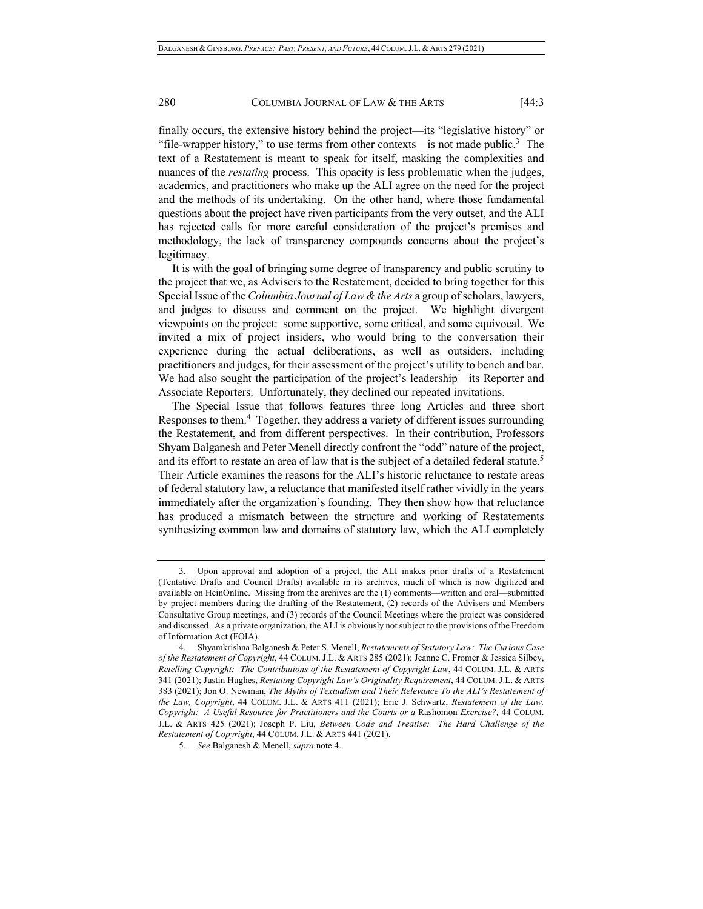## 280 COLUMBIA JOURNAL OF LAW & THE ARTS [44:3]

finally occurs, the extensive history behind the project—its "legislative history" or "file-wrapper history," to use terms from other contexts—is not made public.3 The text of a Restatement is meant to speak for itself, masking the complexities and nuances of the *restating* process. This opacity is less problematic when the judges, academics, and practitioners who make up the ALI agree on the need for the project and the methods of its undertaking. On the other hand, where those fundamental questions about the project have riven participants from the very outset, and the ALI has rejected calls for more careful consideration of the project's premises and methodology, the lack of transparency compounds concerns about the project's legitimacy.

It is with the goal of bringing some degree of transparency and public scrutiny to the project that we, as Advisers to the Restatement, decided to bring together for this Special Issue of the *Columbia Journal of Law & the Arts* a group of scholars, lawyers, and judges to discuss and comment on the project. We highlight divergent viewpoints on the project: some supportive, some critical, and some equivocal. We invited a mix of project insiders, who would bring to the conversation their experience during the actual deliberations, as well as outsiders, including practitioners and judges, for their assessment of the project's utility to bench and bar. We had also sought the participation of the project's leadership—its Reporter and Associate Reporters. Unfortunately, they declined our repeated invitations.

The Special Issue that follows features three long Articles and three short Responses to them.<sup>4</sup> Together, they address a variety of different issues surrounding the Restatement, and from different perspectives. In their contribution, Professors Shyam Balganesh and Peter Menell directly confront the "odd" nature of the project, and its effort to restate an area of law that is the subject of a detailed federal statute.<sup>5</sup> Their Article examines the reasons for the ALI's historic reluctance to restate areas of federal statutory law, a reluctance that manifested itself rather vividly in the years immediately after the organization's founding. They then show how that reluctance has produced a mismatch between the structure and working of Restatements synthesizing common law and domains of statutory law, which the ALI completely

<sup>3.</sup> Upon approval and adoption of a project, the ALI makes prior drafts of a Restatement (Tentative Drafts and Council Drafts) available in its archives, much of which is now digitized and available on HeinOnline. Missing from the archives are the (1) comments—written and oral—submitted by project members during the drafting of the Restatement, (2) records of the Advisers and Members Consultative Group meetings, and (3) records of the Council Meetings where the project was considered and discussed. As a private organization, the ALI is obviously not subject to the provisions of the Freedom of Information Act (FOIA).

<sup>4.</sup> Shyamkrishna Balganesh & Peter S. Menell, *Restatements of Statutory Law: The Curious Case of the Restatement of Copyright*, 44 COLUM. J.L. & ARTS 285 (2021); Jeanne C. Fromer & Jessica Silbey, *Retelling Copyright: The Contributions of the Restatement of Copyright Law*, 44 COLUM. J.L. & ARTS 341 (2021); Justin Hughes, *Restating Copyright Law's Originality Requirement*, 44 COLUM. J.L. & ARTS 383 (2021); Jon O. Newman, *The Myths of Textualism and Their Relevance To the ALI's Restatement of the Law, Copyright*, 44 COLUM. J.L. & ARTS 411 (2021); Eric J. Schwartz, *Restatement of the Law, Copyright: A Useful Resource for Practitioners and the Courts or a* Rashomon *Exercise?,* 44 COLUM. J.L. & ARTS 425 (2021); Joseph P. Liu, *Between Code and Treatise: The Hard Challenge of the Restatement of Copyright*, 44 COLUM. J.L. & ARTS 441 (2021).

<sup>5.</sup> *See* Balganesh & Menell, *supra* note 4.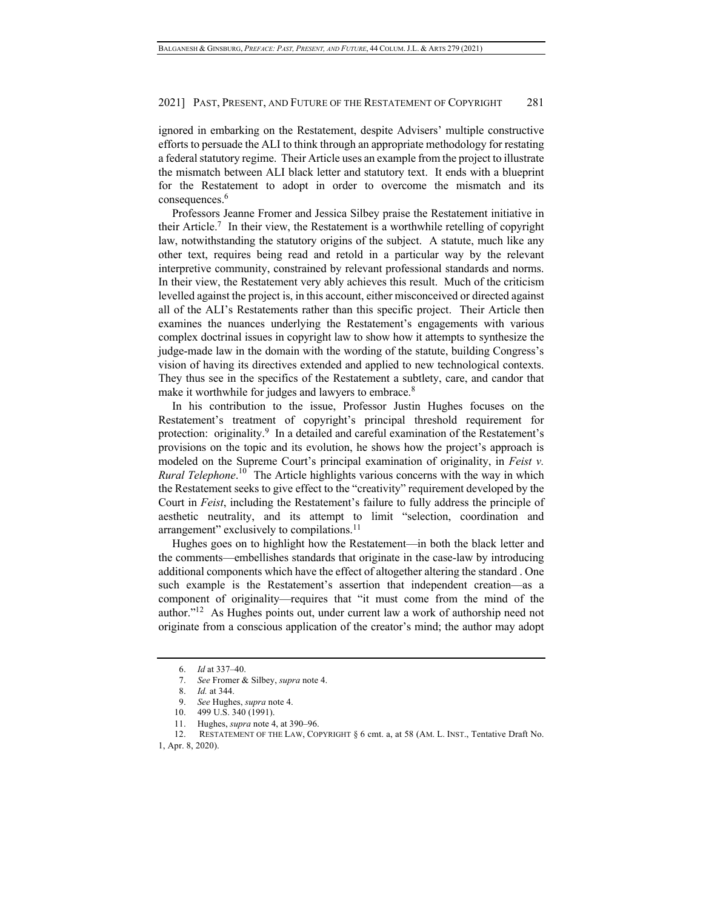#### 2021] PAST, PRESENT, AND FUTURE OF THE RESTATEMENT OF COPYRIGHT 281

ignored in embarking on the Restatement, despite Advisers' multiple constructive efforts to persuade the ALI to think through an appropriate methodology for restating a federal statutory regime. Their Article uses an example from the project to illustrate the mismatch between ALI black letter and statutory text. It ends with a blueprint for the Restatement to adopt in order to overcome the mismatch and its consequences.<sup>6</sup>

Professors Jeanne Fromer and Jessica Silbey praise the Restatement initiative in their Article.<sup>7</sup> In their view, the Restatement is a worthwhile retelling of copyright law, notwithstanding the statutory origins of the subject. A statute, much like any other text, requires being read and retold in a particular way by the relevant interpretive community, constrained by relevant professional standards and norms. In their view, the Restatement very ably achieves this result. Much of the criticism levelled against the project is, in this account, either misconceived or directed against all of the ALI's Restatements rather than this specific project. Their Article then examines the nuances underlying the Restatement's engagements with various complex doctrinal issues in copyright law to show how it attempts to synthesize the judge-made law in the domain with the wording of the statute, building Congress's vision of having its directives extended and applied to new technological contexts. They thus see in the specifics of the Restatement a subtlety, care, and candor that make it worthwhile for judges and lawyers to embrace.<sup>8</sup>

In his contribution to the issue, Professor Justin Hughes focuses on the Restatement's treatment of copyright's principal threshold requirement for protection: originality.<sup>9</sup> In a detailed and careful examination of the Restatement's provisions on the topic and its evolution, he shows how the project's approach is modeled on the Supreme Court's principal examination of originality, in *Feist v.*  Rural Telephone.<sup>10</sup> The Article highlights various concerns with the way in which the Restatement seeks to give effect to the "creativity" requirement developed by the Court in *Feist*, including the Restatement's failure to fully address the principle of aesthetic neutrality, and its attempt to limit "selection, coordination and arrangement" exclusively to compilations.<sup>11</sup>

Hughes goes on to highlight how the Restatement—in both the black letter and the comments—embellishes standards that originate in the case-law by introducing additional components which have the effect of altogether altering the standard . One such example is the Restatement's assertion that independent creation—as a component of originality—requires that "it must come from the mind of the author."12 As Hughes points out, under current law a work of authorship need not originate from a conscious application of the creator's mind; the author may adopt

<sup>6.</sup> *Id* at 337–40.

<sup>7.</sup> *See* Fromer & Silbey, *supra* note 4.

<sup>8.</sup> *Id.* at 344.

<sup>9.</sup> *See* Hughes, *supra* note 4.

<sup>10.</sup> 499 U.S. 340 (1991).

<sup>11.</sup> Hughes, *supra* note 4, at 390–96.

<sup>12.</sup> RESTATEMENT OF THE LAW, COPYRIGHT § 6 cmt. a, at 58 (AM. L. INST., Tentative Draft No. 1, Apr. 8, 2020).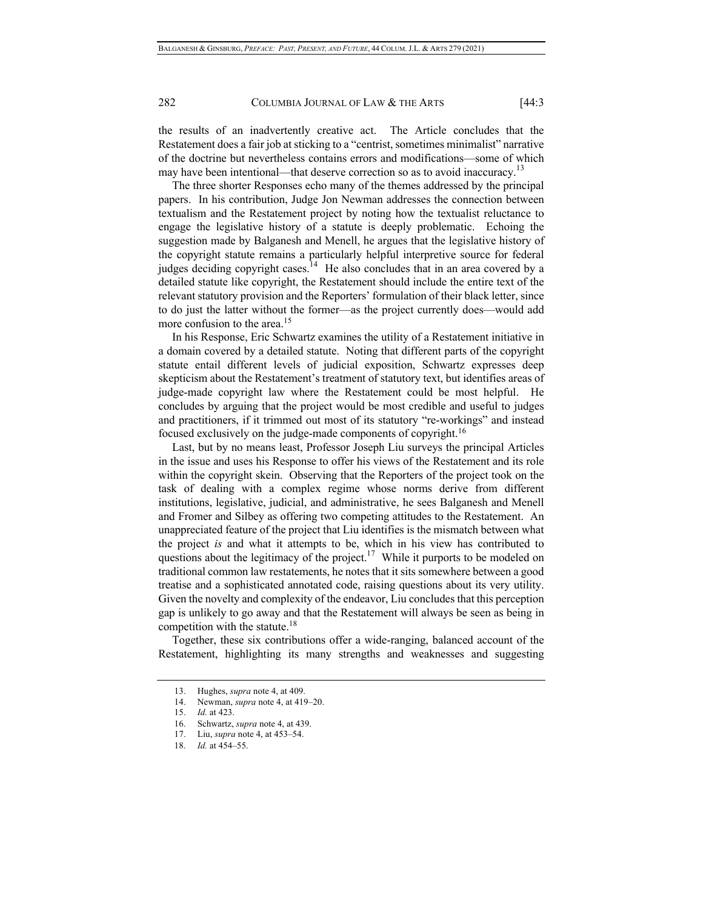### 282 COLUMBIA JOURNAL OF LAW & THE ARTS [44:3]

the results of an inadvertently creative act. The Article concludes that the Restatement does a fair job at sticking to a "centrist, sometimes minimalist" narrative of the doctrine but nevertheless contains errors and modifications—some of which may have been intentional—that deserve correction so as to avoid inaccuracy.<sup>13</sup>

The three shorter Responses echo many of the themes addressed by the principal papers. In his contribution, Judge Jon Newman addresses the connection between textualism and the Restatement project by noting how the textualist reluctance to engage the legislative history of a statute is deeply problematic. Echoing the suggestion made by Balganesh and Menell, he argues that the legislative history of the copyright statute remains a particularly helpful interpretive source for federal judges deciding copyright cases.<sup>14</sup> He also concludes that in an area covered by a detailed statute like copyright, the Restatement should include the entire text of the relevant statutory provision and the Reporters' formulation of their black letter, since to do just the latter without the former—as the project currently does—would add more confusion to the area.<sup>15</sup>

In his Response, Eric Schwartz examines the utility of a Restatement initiative in a domain covered by a detailed statute. Noting that different parts of the copyright statute entail different levels of judicial exposition, Schwartz expresses deep skepticism about the Restatement's treatment of statutory text, but identifies areas of judge-made copyright law where the Restatement could be most helpful. He concludes by arguing that the project would be most credible and useful to judges and practitioners, if it trimmed out most of its statutory "re-workings" and instead focused exclusively on the judge-made components of copyright.<sup>16</sup>

Last, but by no means least, Professor Joseph Liu surveys the principal Articles in the issue and uses his Response to offer his views of the Restatement and its role within the copyright skein. Observing that the Reporters of the project took on the task of dealing with a complex regime whose norms derive from different institutions, legislative, judicial, and administrative, he sees Balganesh and Menell and Fromer and Silbey as offering two competing attitudes to the Restatement. An unappreciated feature of the project that Liu identifies is the mismatch between what the project *is* and what it attempts to be, which in his view has contributed to questions about the legitimacy of the project.<sup>17</sup> While it purports to be modeled on traditional common law restatements, he notes that it sits somewhere between a good treatise and a sophisticated annotated code, raising questions about its very utility. Given the novelty and complexity of the endeavor, Liu concludes that this perception gap is unlikely to go away and that the Restatement will always be seen as being in competition with the statute.18

Together, these six contributions offer a wide-ranging, balanced account of the Restatement, highlighting its many strengths and weaknesses and suggesting

<sup>13.</sup> Hughes, *supra* note 4, at 409.

<sup>14.</sup> Newman, *supra* note 4, at 419–20.

<sup>15.</sup> *Id.* at 423.

<sup>16.</sup> Schwartz, *supra* note 4, at 439.

<sup>17.</sup> Liu, *supra* note 4, at 453–54.

<sup>18.</sup> *Id.* at 454–55.